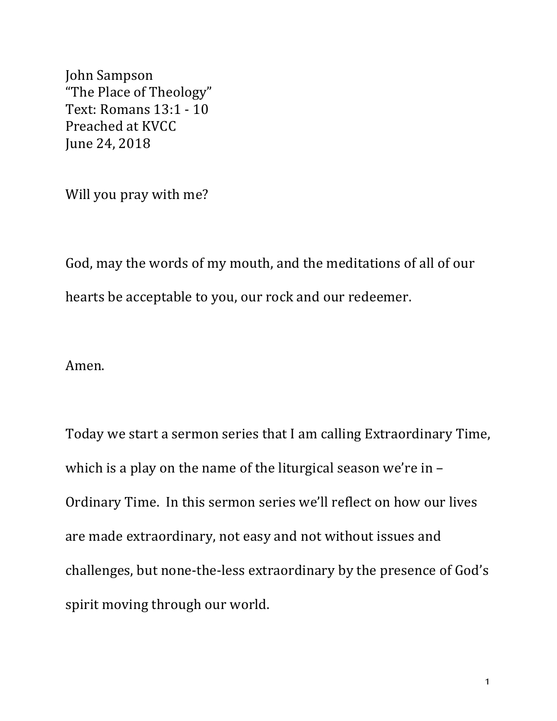John Sampson "The Place of Theology" Text: Romans 13:1 - 10 Preached at KVCC June 24, 2018

Will you pray with me?

God, may the words of my mouth, and the meditations of all of our hearts be acceptable to you, our rock and our redeemer.

Amen.

Today we start a sermon series that I am calling Extraordinary Time, which is a play on the name of the liturgical season we're in  $-$ Ordinary Time. In this sermon series we'll reflect on how our lives are made extraordinary, not easy and not without issues and challenges, but none-the-less extraordinary by the presence of God's spirit moving through our world.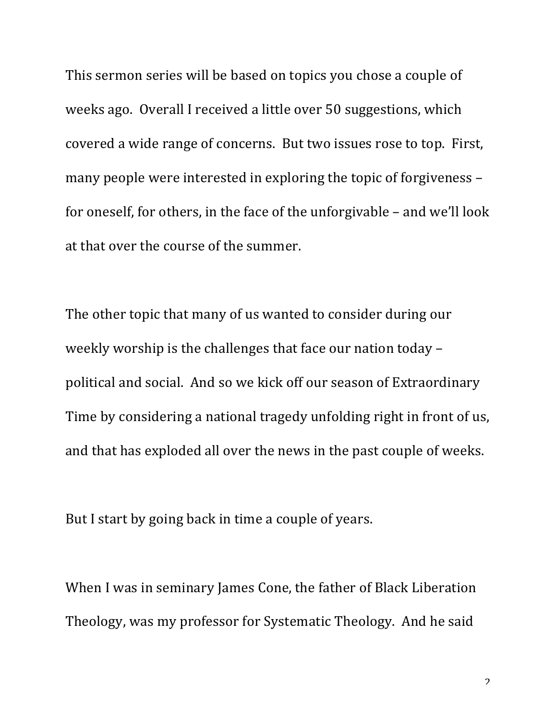This sermon series will be based on topics you chose a couple of weeks ago. Overall I received a little over 50 suggestions, which covered a wide range of concerns. But two issues rose to top. First, many people were interested in exploring the topic of forgiveness – for oneself, for others, in the face of the unforgivable  $-$  and we'll look at that over the course of the summer.

The other topic that many of us wanted to consider during our weekly worship is the challenges that face our nation today  $$ political and social. And so we kick off our season of Extraordinary Time by considering a national tragedy unfolding right in front of us, and that has exploded all over the news in the past couple of weeks.

But I start by going back in time a couple of years.

When I was in seminary James Cone, the father of Black Liberation Theology, was my professor for Systematic Theology. And he said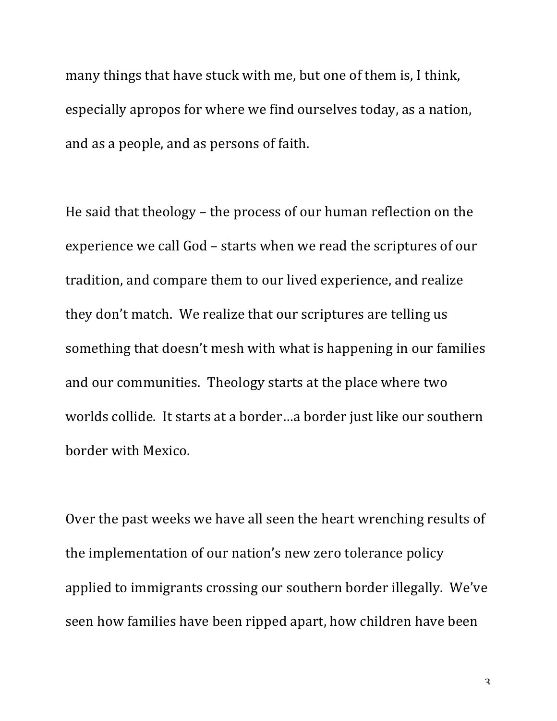many things that have stuck with me, but one of them is, I think, especially apropos for where we find ourselves today, as a nation, and as a people, and as persons of faith.

He said that theology – the process of our human reflection on the experience we call God – starts when we read the scriptures of our tradition, and compare them to our lived experience, and realize they don't match. We realize that our scriptures are telling us something that doesn't mesh with what is happening in our families and our communities. Theology starts at the place where two worlds collide. It starts at a border...a border just like our southern border with Mexico.

Over the past weeks we have all seen the heart wrenching results of the implementation of our nation's new zero tolerance policy applied to immigrants crossing our southern border illegally. We've seen how families have been ripped apart, how children have been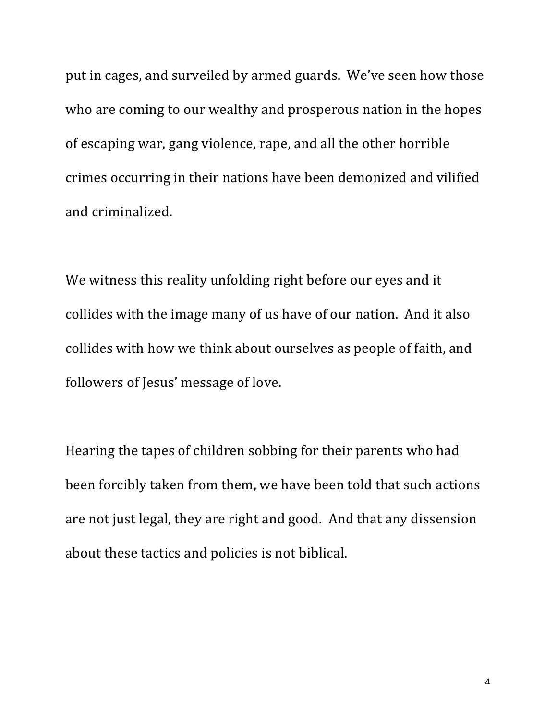put in cages, and surveiled by armed guards. We've seen how those who are coming to our wealthy and prosperous nation in the hopes of escaping war, gang violence, rape, and all the other horrible crimes occurring in their nations have been demonized and vilified and criminalized.

We witness this reality unfolding right before our eyes and it collides with the image many of us have of our nation. And it also collides with how we think about ourselves as people of faith, and followers of Jesus' message of love.

Hearing the tapes of children sobbing for their parents who had been forcibly taken from them, we have been told that such actions are not just legal, they are right and good. And that any dissension about these tactics and policies is not biblical.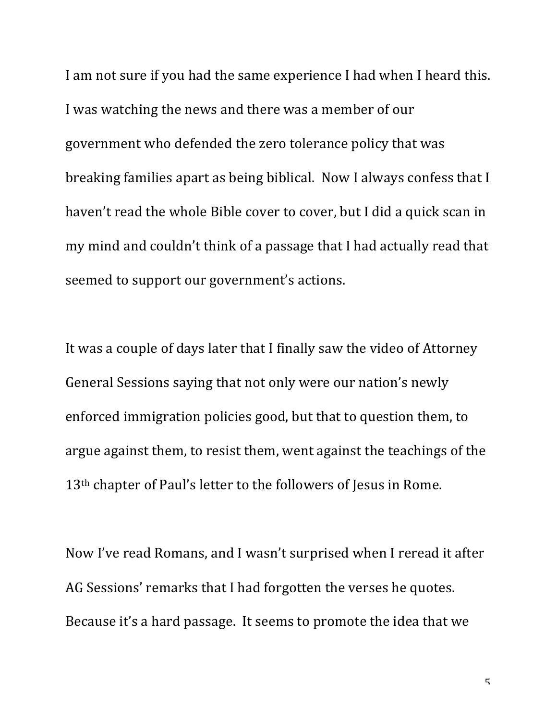I am not sure if you had the same experience I had when I heard this. I was watching the news and there was a member of our government who defended the zero tolerance policy that was breaking families apart as being biblical. Now I always confess that I haven't read the whole Bible cover to cover, but I did a quick scan in my mind and couldn't think of a passage that I had actually read that seemed to support our government's actions.

It was a couple of days later that I finally saw the video of Attorney General Sessions saying that not only were our nation's newly enforced immigration policies good, but that to question them, to argue against them, to resist them, went against the teachings of the 13<sup>th</sup> chapter of Paul's letter to the followers of Jesus in Rome.

Now I've read Romans, and I wasn't surprised when I reread it after AG Sessions' remarks that I had forgotten the verses he quotes. Because it's a hard passage. It seems to promote the idea that we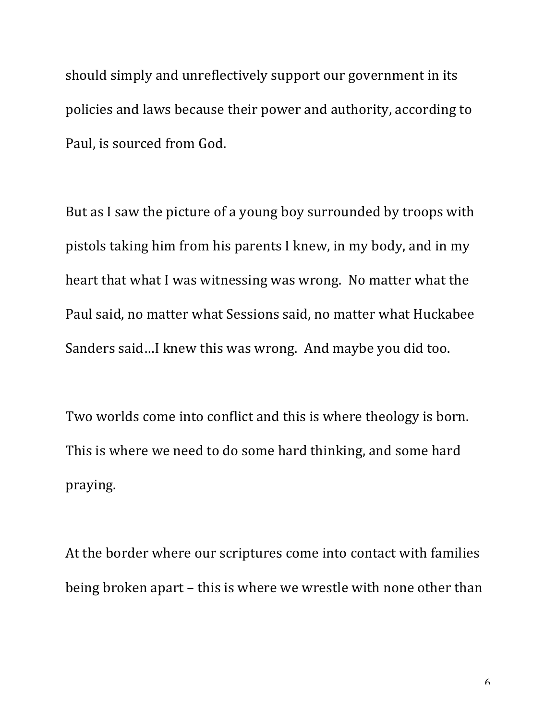should simply and unreflectively support our government in its policies and laws because their power and authority, according to Paul, is sourced from God.

But as I saw the picture of a young boy surrounded by troops with pistols taking him from his parents I knew, in my body, and in my heart that what I was witnessing was wrong. No matter what the Paul said, no matter what Sessions said, no matter what Huckabee Sanders said...I knew this was wrong. And maybe you did too.

Two worlds come into conflict and this is where theology is born. This is where we need to do some hard thinking, and some hard praying.

At the border where our scriptures come into contact with families being broken apart – this is where we wrestle with none other than

6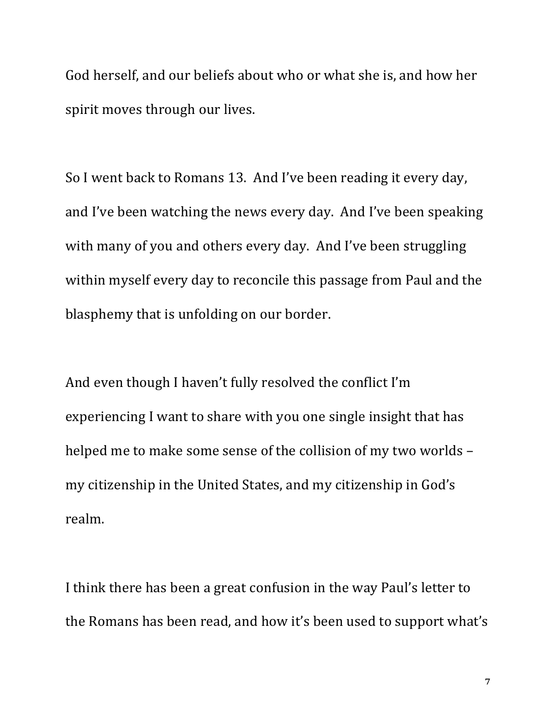God herself, and our beliefs about who or what she is, and how her spirit moves through our lives.

So I went back to Romans 13. And I've been reading it every day, and I've been watching the news every day. And I've been speaking with many of you and others every day. And I've been struggling within myself every day to reconcile this passage from Paul and the blasphemy that is unfolding on our border.

And even though I haven't fully resolved the conflict I'm experiencing I want to share with you one single insight that has helped me to make some sense of the collision of my two worlds my citizenship in the United States, and my citizenship in God's realm.

I think there has been a great confusion in the way Paul's letter to the Romans has been read, and how it's been used to support what's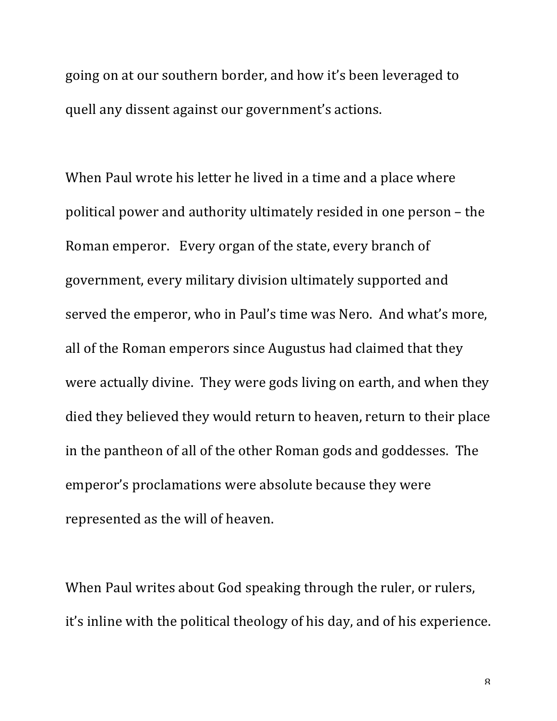going on at our southern border, and how it's been leveraged to quell any dissent against our government's actions.

When Paul wrote his letter he lived in a time and a place where political power and authority ultimately resided in one person - the Roman emperor. Every organ of the state, every branch of government, every military division ultimately supported and served the emperor, who in Paul's time was Nero. And what's more, all of the Roman emperors since Augustus had claimed that they were actually divine. They were gods living on earth, and when they died they believed they would return to heaven, return to their place in the pantheon of all of the other Roman gods and goddesses. The emperor's proclamations were absolute because they were represented as the will of heaven.

When Paul writes about God speaking through the ruler, or rulers, it's inline with the political theology of his day, and of his experience.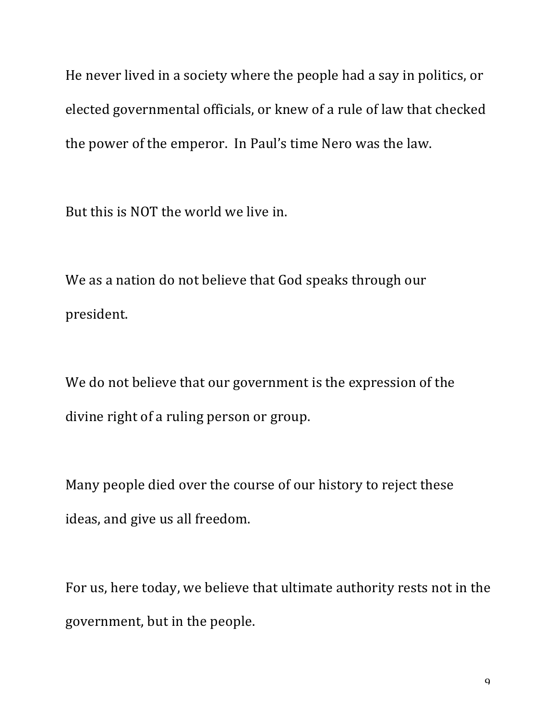He never lived in a society where the people had a say in politics, or elected governmental officials, or knew of a rule of law that checked the power of the emperor. In Paul's time Nero was the law.

But this is NOT the world we live in.

We as a nation do not believe that God speaks through our president.

We do not believe that our government is the expression of the divine right of a ruling person or group.

Many people died over the course of our history to reject these ideas, and give us all freedom.

For us, here today, we believe that ultimate authority rests not in the government, but in the people.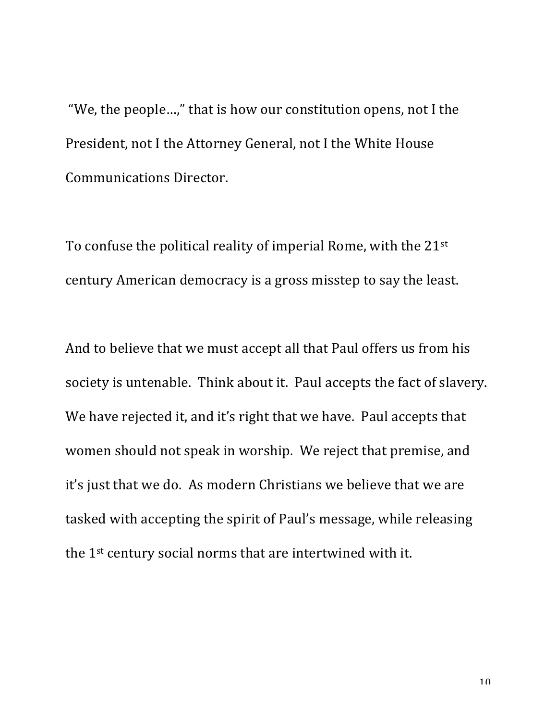"We, the people...," that is how our constitution opens, not I the President, not I the Attorney General, not I the White House Communications Director.

To confuse the political reality of imperial Rome, with the  $21^{st}$ century American democracy is a gross misstep to say the least.

And to believe that we must accept all that Paul offers us from his society is untenable. Think about it. Paul accepts the fact of slavery. We have rejected it, and it's right that we have. Paul accepts that women should not speak in worship. We reject that premise, and it's just that we do. As modern Christians we believe that we are tasked with accepting the spirit of Paul's message, while releasing the  $1^{st}$  century social norms that are intertwined with it.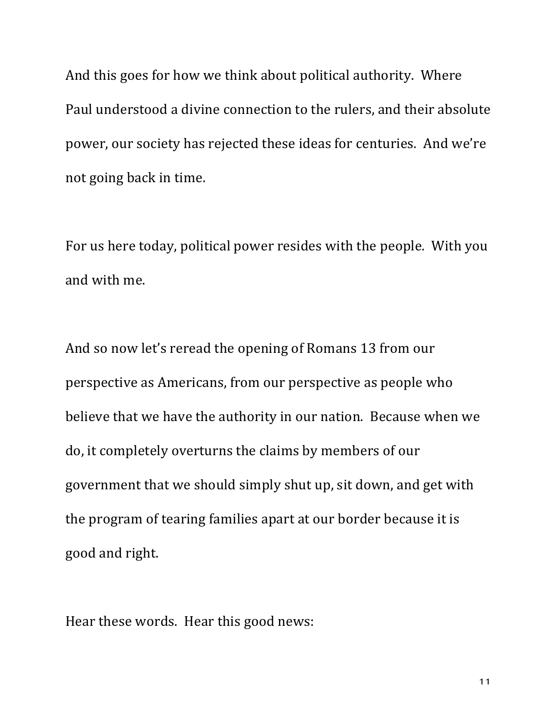And this goes for how we think about political authority. Where Paul understood a divine connection to the rulers, and their absolute power, our society has rejected these ideas for centuries. And we're not going back in time.

For us here today, political power resides with the people. With you and with me.

And so now let's reread the opening of Romans 13 from our perspective as Americans, from our perspective as people who believe that we have the authority in our nation. Because when we do, it completely overturns the claims by members of our government that we should simply shut up, sit down, and get with the program of tearing families apart at our border because it is good and right.

Hear these words. Hear this good news: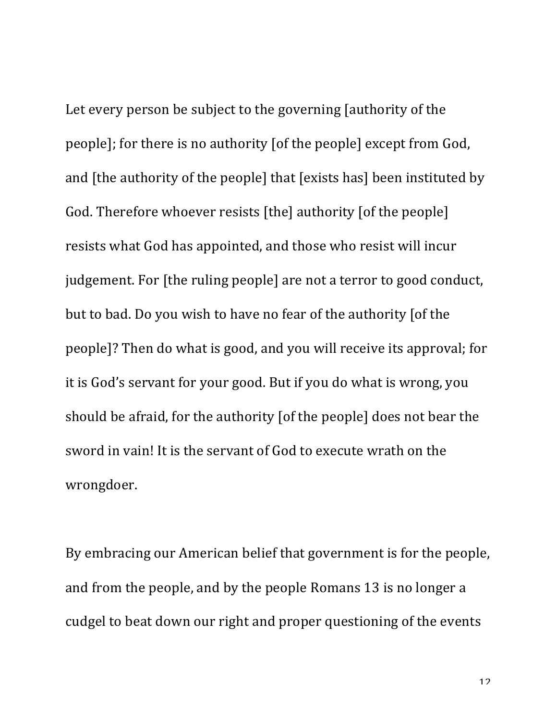Let every person be subject to the governing [authority of the people]; for there is no authority [of the people] except from God, and [the authority of the people] that [exists has] been instituted by God. Therefore whoever resists [the] authority [of the people] resists what God has appointed, and those who resist will incur judgement. For [the ruling people] are not a terror to good conduct, but to bad. Do you wish to have no fear of the authority [of the people]? Then do what is good, and you will receive its approval; for it is God's servant for your good. But if you do what is wrong, you should be afraid, for the authority [of the people] does not bear the sword in vain! It is the servant of God to execute wrath on the wrongdoer. 

By embracing our American belief that government is for the people, and from the people, and by the people Romans 13 is no longer a cudgel to beat down our right and proper questioning of the events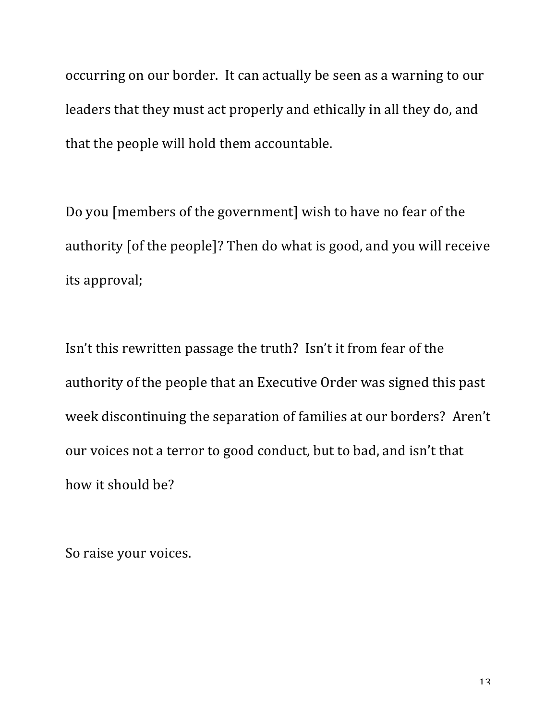occurring on our border. It can actually be seen as a warning to our leaders that they must act properly and ethically in all they do, and that the people will hold them accountable.

Do you [members of the government] wish to have no fear of the authority [of the people]? Then do what is good, and you will receive its approval;

Isn't this rewritten passage the truth? Isn't it from fear of the authority of the people that an Executive Order was signed this past week discontinuing the separation of families at our borders? Aren't our voices not a terror to good conduct, but to bad, and isn't that how it should be?

So raise your voices.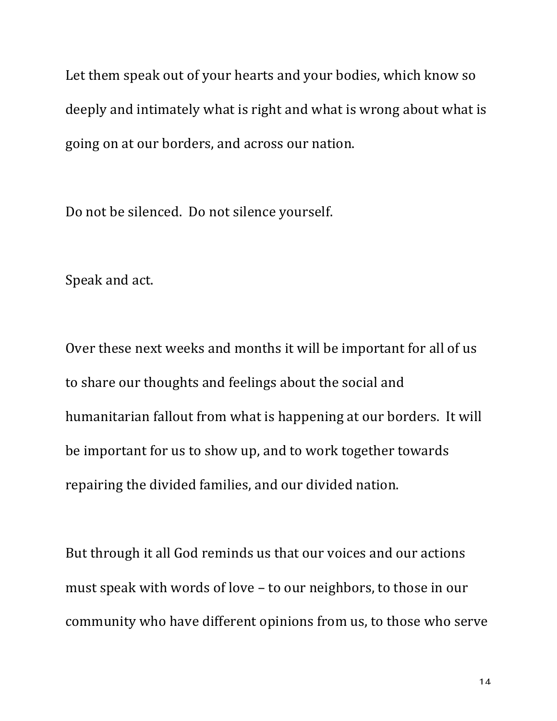Let them speak out of your hearts and your bodies, which know so deeply and intimately what is right and what is wrong about what is going on at our borders, and across our nation.

Do not be silenced. Do not silence yourself.

Speak and act.

Over these next weeks and months it will be important for all of us to share our thoughts and feelings about the social and humanitarian fallout from what is happening at our borders. It will be important for us to show up, and to work together towards repairing the divided families, and our divided nation.

But through it all God reminds us that our voices and our actions must speak with words of love  $-$  to our neighbors, to those in our community who have different opinions from us, to those who serve